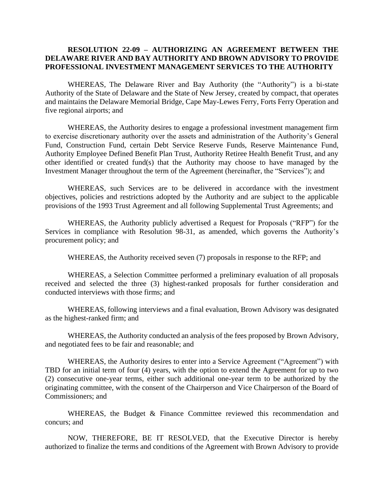## **RESOLUTION 22-09 – AUTHORIZING AN AGREEMENT BETWEEN THE DELAWARE RIVER AND BAY AUTHORITY AND BROWN ADVISORY TO PROVIDE PROFESSIONAL INVESTMENT MANAGEMENT SERVICES TO THE AUTHORITY**

WHEREAS, The Delaware River and Bay Authority (the "Authority") is a bi-state Authority of the State of Delaware and the State of New Jersey, created by compact, that operates and maintains the Delaware Memorial Bridge, Cape May-Lewes Ferry, Forts Ferry Operation and five regional airports; and

WHEREAS, the Authority desires to engage a professional investment management firm to exercise discretionary authority over the assets and administration of the Authority's General Fund, Construction Fund, certain Debt Service Reserve Funds, Reserve Maintenance Fund, Authority Employee Defined Benefit Plan Trust, Authority Retiree Health Benefit Trust, and any other identified or created fund(s) that the Authority may choose to have managed by the Investment Manager throughout the term of the Agreement (hereinafter, the "Services"); and

WHEREAS, such Services are to be delivered in accordance with the investment objectives, policies and restrictions adopted by the Authority and are subject to the applicable provisions of the 1993 Trust Agreement and all following Supplemental Trust Agreements; and

WHEREAS, the Authority publicly advertised a Request for Proposals ("RFP") for the Services in compliance with Resolution 98-31, as amended, which governs the Authority's procurement policy; and

WHEREAS, the Authority received seven (7) proposals in response to the RFP; and

WHEREAS, a Selection Committee performed a preliminary evaluation of all proposals received and selected the three (3) highest-ranked proposals for further consideration and conducted interviews with those firms; and

WHEREAS, following interviews and a final evaluation, Brown Advisory was designated as the highest-ranked firm; and

WHEREAS, the Authority conducted an analysis of the fees proposed by Brown Advisory, and negotiated fees to be fair and reasonable; and

WHEREAS, the Authority desires to enter into a Service Agreement ("Agreement") with TBD for an initial term of four (4) years, with the option to extend the Agreement for up to two (2) consecutive one-year terms, either such additional one-year term to be authorized by the originating committee, with the consent of the Chairperson and Vice Chairperson of the Board of Commissioners; and

WHEREAS, the Budget & Finance Committee reviewed this recommendation and concurs; and

NOW, THEREFORE, BE IT RESOLVED, that the Executive Director is hereby authorized to finalize the terms and conditions of the Agreement with Brown Advisory to provide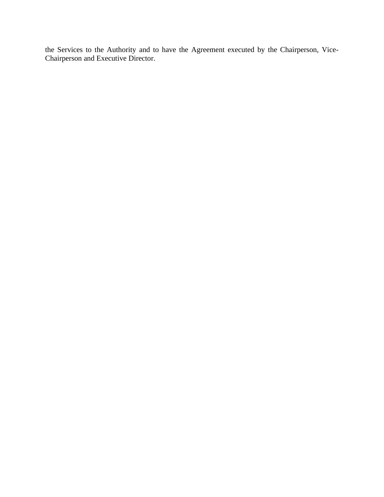the Services to the Authority and to have the Agreement executed by the Chairperson, Vice-Chairperson and Executive Director.